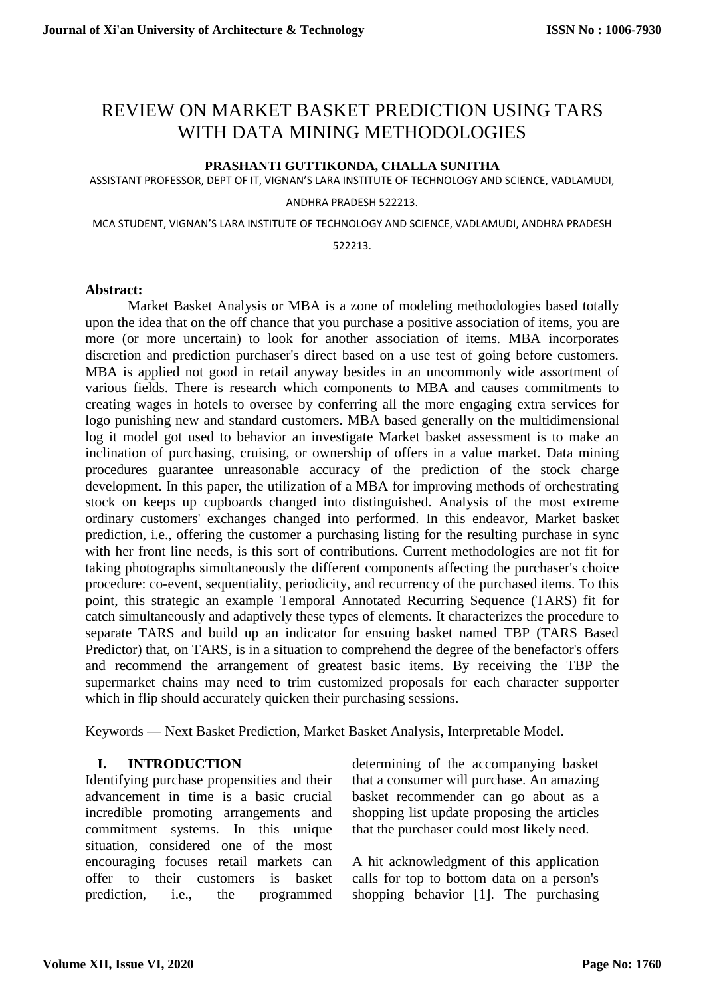# REVIEW ON MARKET BASKET PREDICTION USING TARS WITH DATA MINING METHODOLOGIES

### **PRASHANTI GUTTIKONDA, CHALLA SUNITHA**

ASSISTANT PROFESSOR, DEPT OF IT, VIGNAN'S LARA INSTITUTE OF TECHNOLOGY AND SCIENCE, VADLAMUDI,

#### ANDHRA PRADESH 522213.

MCA STUDENT, VIGNAN'S LARA INSTITUTE OF TECHNOLOGY AND SCIENCE, VADLAMUDI, ANDHRA PRADESH

#### 522213.

#### **Abstract:**

Market Basket Analysis or MBA is a zone of modeling methodologies based totally upon the idea that on the off chance that you purchase a positive association of items, you are more (or more uncertain) to look for another association of items. MBA incorporates discretion and prediction purchaser's direct based on a use test of going before customers. MBA is applied not good in retail anyway besides in an uncommonly wide assortment of various fields. There is research which components to MBA and causes commitments to creating wages in hotels to oversee by conferring all the more engaging extra services for logo punishing new and standard customers. MBA based generally on the multidimensional log it model got used to behavior an investigate Market basket assessment is to make an inclination of purchasing, cruising, or ownership of offers in a value market. Data mining procedures guarantee unreasonable accuracy of the prediction of the stock charge development. In this paper, the utilization of a MBA for improving methods of orchestrating stock on keeps up cupboards changed into distinguished. Analysis of the most extreme ordinary customers' exchanges changed into performed. In this endeavor, Market basket prediction, i.e., offering the customer a purchasing listing for the resulting purchase in sync with her front line needs, is this sort of contributions. Current methodologies are not fit for taking photographs simultaneously the different components affecting the purchaser's choice procedure: co-event, sequentiality, periodicity, and recurrency of the purchased items. To this point, this strategic an example Temporal Annotated Recurring Sequence (TARS) fit for catch simultaneously and adaptively these types of elements. It characterizes the procedure to separate TARS and build up an indicator for ensuing basket named TBP (TARS Based Predictor) that, on TARS, is in a situation to comprehend the degree of the benefactor's offers and recommend the arrangement of greatest basic items. By receiving the TBP the supermarket chains may need to trim customized proposals for each character supporter which in flip should accurately quicken their purchasing sessions.

Keywords — Next Basket Prediction, Market Basket Analysis, Interpretable Model.

### **I. INTRODUCTION**

Identifying purchase propensities and their advancement in time is a basic crucial incredible promoting arrangements and commitment systems. In this unique situation, considered one of the most encouraging focuses retail markets can offer to their customers is basket prediction, i.e., the programmed

determining of the accompanying basket that a consumer will purchase. An amazing basket recommender can go about as a shopping list update proposing the articles that the purchaser could most likely need.

A hit acknowledgment of this application calls for top to bottom data on a person's shopping behavior [1]. The purchasing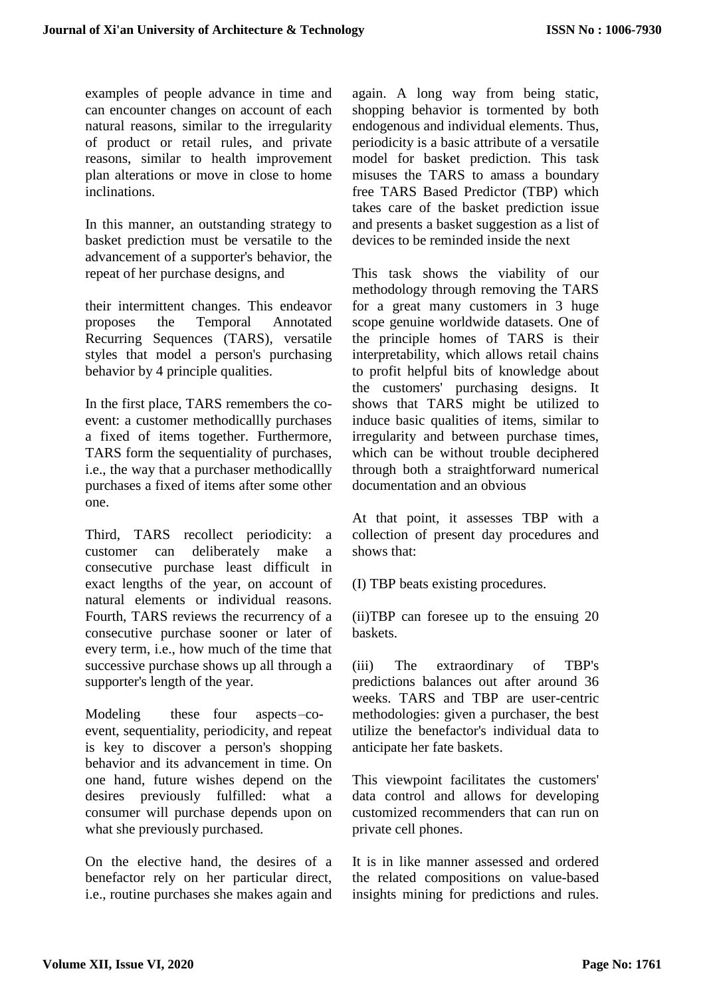examples of people advance in time and can encounter changes on account of each natural reasons, similar to the irregularity of product or retail rules, and private reasons, similar to health improvement plan alterations or move in close to home inclinations.

In this manner, an outstanding strategy to basket prediction must be versatile to the advancement of a supporter's behavior, the repeat of her purchase designs, and

their intermittent changes. This endeavor proposes the Temporal Annotated Recurring Sequences (TARS), versatile styles that model a person's purchasing behavior by 4 principle qualities.

In the first place, TARS remembers the coevent: a customer methodicallly purchases a fixed of items together. Furthermore, TARS form the sequentiality of purchases, i.e., the way that a purchaser methodicallly purchases a fixed of items after some other one.

Third, TARS recollect periodicity: a customer can deliberately make a consecutive purchase least difficult in exact lengths of the year, on account of natural elements or individual reasons. Fourth, TARS reviews the recurrency of a consecutive purchase sooner or later of every term, i.e., how much of the time that successive purchase shows up all through a supporter's length of the year.

Modeling these four aspects–coevent, sequentiality, periodicity, and repeat is key to discover a person's shopping behavior and its advancement in time. On one hand, future wishes depend on the desires previously fulfilled: what a consumer will purchase depends upon on what she previously purchased.

On the elective hand, the desires of a benefactor rely on her particular direct, i.e., routine purchases she makes again and again. A long way from being static, shopping behavior is tormented by both endogenous and individual elements. Thus, periodicity is a basic attribute of a versatile model for basket prediction. This task misuses the TARS to amass a boundary free TARS Based Predictor (TBP) which takes care of the basket prediction issue and presents a basket suggestion as a list of devices to be reminded inside the next

This task shows the viability of our methodology through removing the TARS for a great many customers in 3 huge scope genuine worldwide datasets. One of the principle homes of TARS is their interpretability, which allows retail chains to profit helpful bits of knowledge about the customers' purchasing designs. It shows that TARS might be utilized to induce basic qualities of items, similar to irregularity and between purchase times, which can be without trouble deciphered through both a straightforward numerical documentation and an obvious

At that point, it assesses TBP with a collection of present day procedures and shows that:

(I) TBP beats existing procedures.

(ii)TBP can foresee up to the ensuing 20 baskets.

(iii) The extraordinary of TBP's predictions balances out after around 36 weeks. TARS and TBP are user-centric methodologies: given a purchaser, the best utilize the benefactor's individual data to anticipate her fate baskets.

This viewpoint facilitates the customers' data control and allows for developing customized recommenders that can run on private cell phones.

It is in like manner assessed and ordered the related compositions on value-based insights mining for predictions and rules.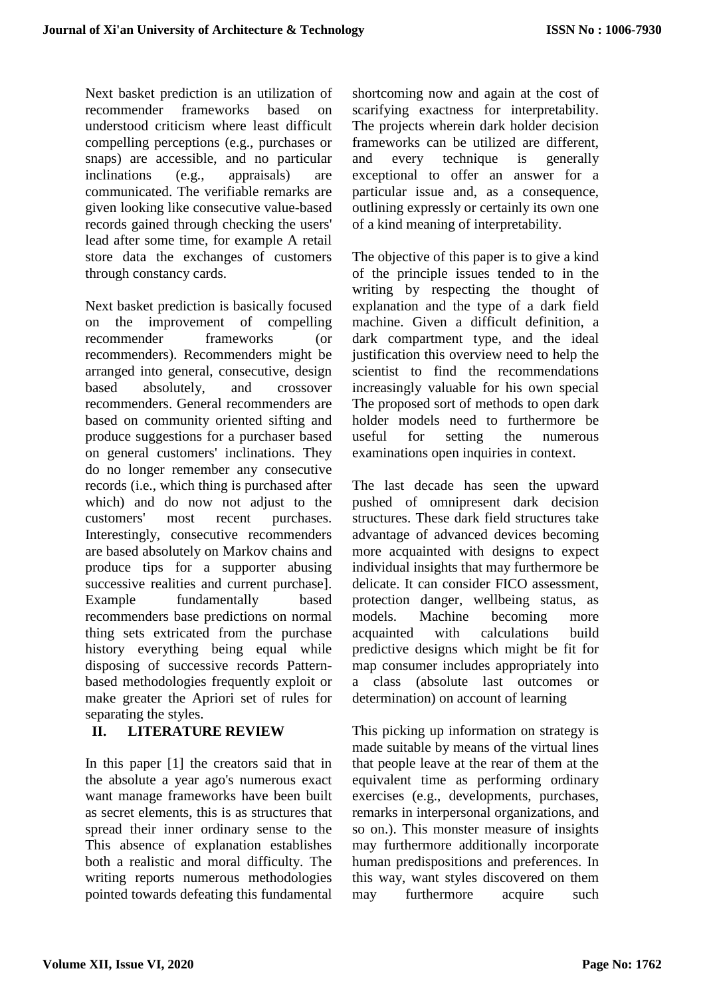Next basket prediction is an utilization of recommender frameworks based on understood criticism where least difficult compelling perceptions (e.g., purchases or snaps) are accessible, and no particular inclinations (e.g., appraisals) are communicated. The verifiable remarks are given looking like consecutive value-based records gained through checking the users' lead after some time, for example A retail store data the exchanges of customers through constancy cards.

Next basket prediction is basically focused on the improvement of compelling recommender frameworks (or recommenders). Recommenders might be arranged into general, consecutive, design based absolutely, and crossover recommenders. General recommenders are based on community oriented sifting and produce suggestions for a purchaser based on general customers' inclinations. They do no longer remember any consecutive records (i.e., which thing is purchased after which) and do now not adjust to the customers' most recent purchases. Interestingly, consecutive recommenders are based absolutely on Markov chains and produce tips for a supporter abusing successive realities and current purchase]. Example fundamentally based recommenders base predictions on normal thing sets extricated from the purchase history everything being equal while disposing of successive records Patternbased methodologies frequently exploit or make greater the Apriori set of rules for separating the styles.

# **II. LITERATURE REVIEW**

In this paper [1] the creators said that in the absolute a year ago's numerous exact want manage frameworks have been built as secret elements, this is as structures that spread their inner ordinary sense to the This absence of explanation establishes both a realistic and moral difficulty. The writing reports numerous methodologies pointed towards defeating this fundamental shortcoming now and again at the cost of scarifying exactness for interpretability. The projects wherein dark holder decision frameworks can be utilized are different, and every technique is generally exceptional to offer an answer for a particular issue and, as a consequence, outlining expressly or certainly its own one of a kind meaning of interpretability.

The objective of this paper is to give a kind of the principle issues tended to in the writing by respecting the thought of explanation and the type of a dark field machine. Given a difficult definition, a dark compartment type, and the ideal justification this overview need to help the scientist to find the recommendations increasingly valuable for his own special The proposed sort of methods to open dark holder models need to furthermore be useful for setting the numerous examinations open inquiries in context.

The last decade has seen the upward pushed of omnipresent dark decision structures. These dark field structures take advantage of advanced devices becoming more acquainted with designs to expect individual insights that may furthermore be delicate. It can consider FICO assessment, protection danger, wellbeing status, as models. Machine becoming more acquainted with calculations build predictive designs which might be fit for map consumer includes appropriately into a class (absolute last outcomes or determination) on account of learning

This picking up information on strategy is made suitable by means of the virtual lines that people leave at the rear of them at the equivalent time as performing ordinary exercises (e.g., developments, purchases, remarks in interpersonal organizations, and so on.). This monster measure of insights may furthermore additionally incorporate human predispositions and preferences. In this way, want styles discovered on them may furthermore acquire such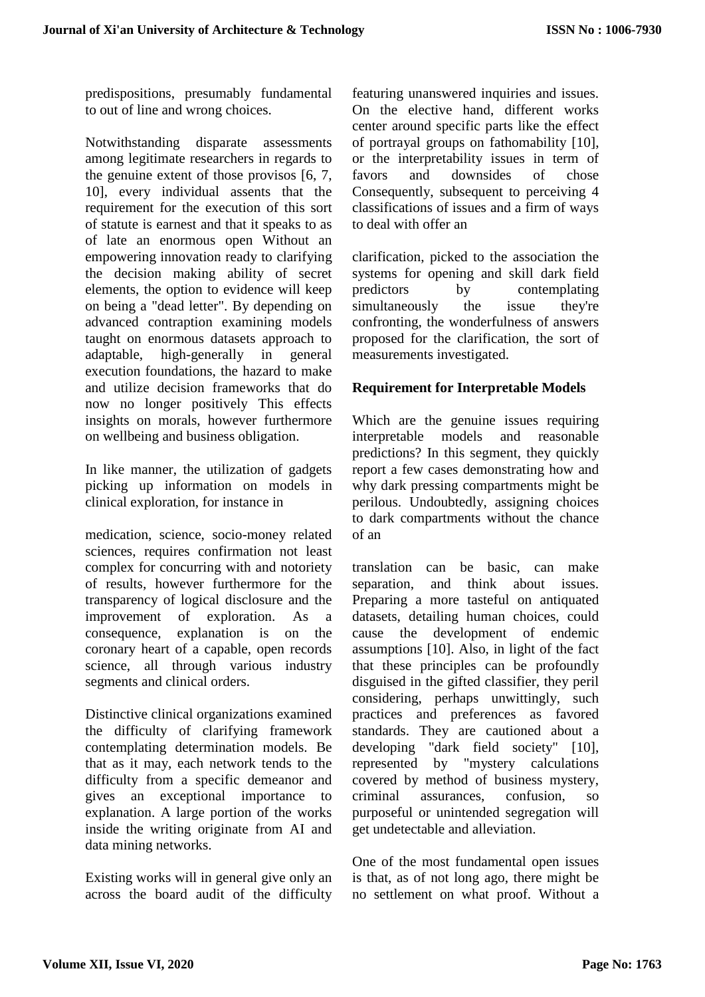predispositions, presumably fundamental to out of line and wrong choices.

Notwithstanding disparate assessments among legitimate researchers in regards to the genuine extent of those provisos [6, 7, 10], every individual assents that the requirement for the execution of this sort of statute is earnest and that it speaks to as of late an enormous open Without an empowering innovation ready to clarifying the decision making ability of secret elements, the option to evidence will keep on being a "dead letter". By depending on advanced contraption examining models taught on enormous datasets approach to adaptable, high-generally in general execution foundations, the hazard to make and utilize decision frameworks that do now no longer positively This effects insights on morals, however furthermore on wellbeing and business obligation.

In like manner, the utilization of gadgets picking up information on models in clinical exploration, for instance in

medication, science, socio-money related sciences, requires confirmation not least complex for concurring with and notoriety of results, however furthermore for the transparency of logical disclosure and the improvement of exploration. As a consequence, explanation is on the coronary heart of a capable, open records science, all through various industry segments and clinical orders.

Distinctive clinical organizations examined the difficulty of clarifying framework contemplating determination models. Be that as it may, each network tends to the difficulty from a specific demeanor and gives an exceptional importance to explanation. A large portion of the works inside the writing originate from AI and data mining networks.

Existing works will in general give only an across the board audit of the difficulty featuring unanswered inquiries and issues. On the elective hand, different works center around specific parts like the effect of portrayal groups on fathomability [10], or the interpretability issues in term of favors and downsides of chose Consequently, subsequent to perceiving 4 classifications of issues and a firm of ways to deal with offer an

clarification, picked to the association the systems for opening and skill dark field predictors by contemplating simultaneously the issue they're confronting, the wonderfulness of answers proposed for the clarification, the sort of measurements investigated.

# **Requirement for Interpretable Models**

Which are the genuine issues requiring interpretable models and reasonable predictions? In this segment, they quickly report a few cases demonstrating how and why dark pressing compartments might be perilous. Undoubtedly, assigning choices to dark compartments without the chance of an

translation can be basic, can make separation, and think about issues. Preparing a more tasteful on antiquated datasets, detailing human choices, could cause the development of endemic assumptions [10]. Also, in light of the fact that these principles can be profoundly disguised in the gifted classifier, they peril considering, perhaps unwittingly, such practices and preferences as favored standards. They are cautioned about a developing "dark field society" [10], represented by "mystery calculations covered by method of business mystery, criminal assurances, confusion, so purposeful or unintended segregation will get undetectable and alleviation.

One of the most fundamental open issues is that, as of not long ago, there might be no settlement on what proof. Without a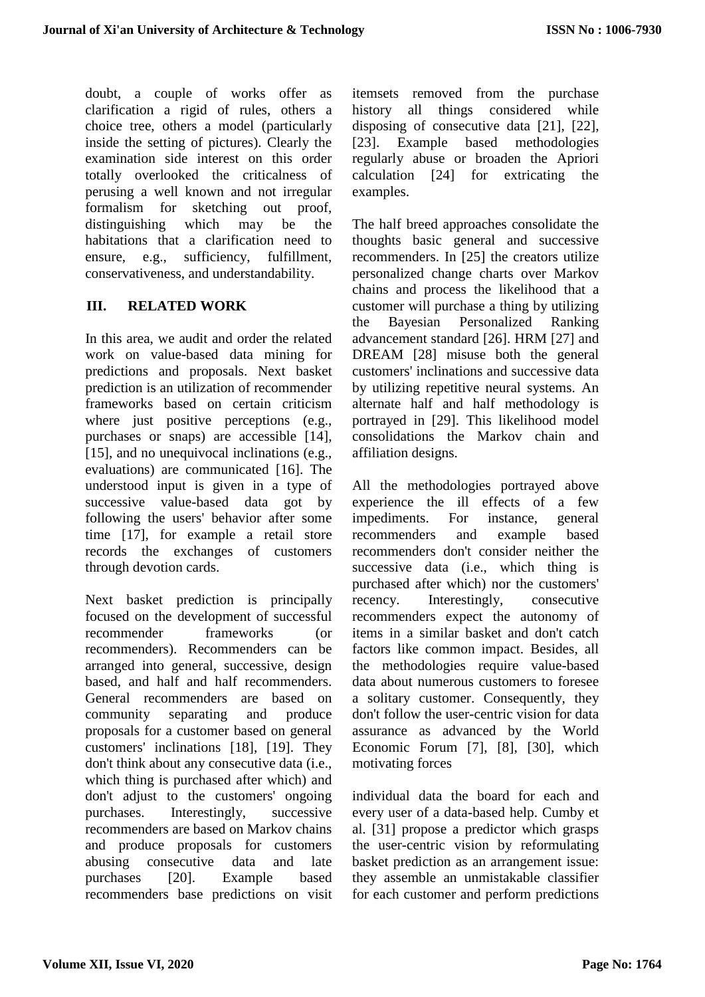doubt, a couple of works offer as clarification a rigid of rules, others a choice tree, others a model (particularly inside the setting of pictures). Clearly the examination side interest on this order totally overlooked the criticalness of perusing a well known and not irregular formalism for sketching out proof, distinguishing which may be the habitations that a clarification need to ensure, e.g., sufficiency, fulfillment, conservativeness, and understandability.

# **III. RELATED WORK**

In this area, we audit and order the related work on value-based data mining for predictions and proposals. Next basket prediction is an utilization of recommender frameworks based on certain criticism where just positive perceptions (e.g., purchases or snaps) are accessible [14], [15], and no unequivocal inclinations (e.g., evaluations) are communicated [16]. The understood input is given in a type of successive value-based data got by following the users' behavior after some time [17], for example a retail store records the exchanges of customers through devotion cards.

Next basket prediction is principally focused on the development of successful recommender frameworks (or recommenders). Recommenders can be arranged into general, successive, design based, and half and half recommenders. General recommenders are based on community separating and produce proposals for a customer based on general customers' inclinations [18], [19]. They don't think about any consecutive data (i.e., which thing is purchased after which) and don't adjust to the customers' ongoing purchases. Interestingly, successive recommenders are based on Markov chains and produce proposals for customers abusing consecutive data and late purchases [20]. Example based recommenders base predictions on visit

itemsets removed from the purchase history all things considered while disposing of consecutive data [21], [22], [23]. Example based methodologies regularly abuse or broaden the Apriori calculation [24] for extricating the examples.

The half breed approaches consolidate the thoughts basic general and successive recommenders. In [25] the creators utilize personalized change charts over Markov chains and process the likelihood that a customer will purchase a thing by utilizing the Bayesian Personalized Ranking advancement standard [26]. HRM [27] and DREAM [28] misuse both the general customers' inclinations and successive data by utilizing repetitive neural systems. An alternate half and half methodology is portrayed in [29]. This likelihood model consolidations the Markov chain and affiliation designs.

All the methodologies portrayed above experience the ill effects of a few impediments. For instance, general recommenders and example based recommenders don't consider neither the successive data (i.e., which thing is purchased after which) nor the customers' recency. Interestingly, consecutive recommenders expect the autonomy of items in a similar basket and don't catch factors like common impact. Besides, all the methodologies require value-based data about numerous customers to foresee a solitary customer. Consequently, they don't follow the user-centric vision for data assurance as advanced by the World Economic Forum [7], [8], [30], which motivating forces

individual data the board for each and every user of a data-based help. Cumby et al. [31] propose a predictor which grasps the user-centric vision by reformulating basket prediction as an arrangement issue: they assemble an unmistakable classifier for each customer and perform predictions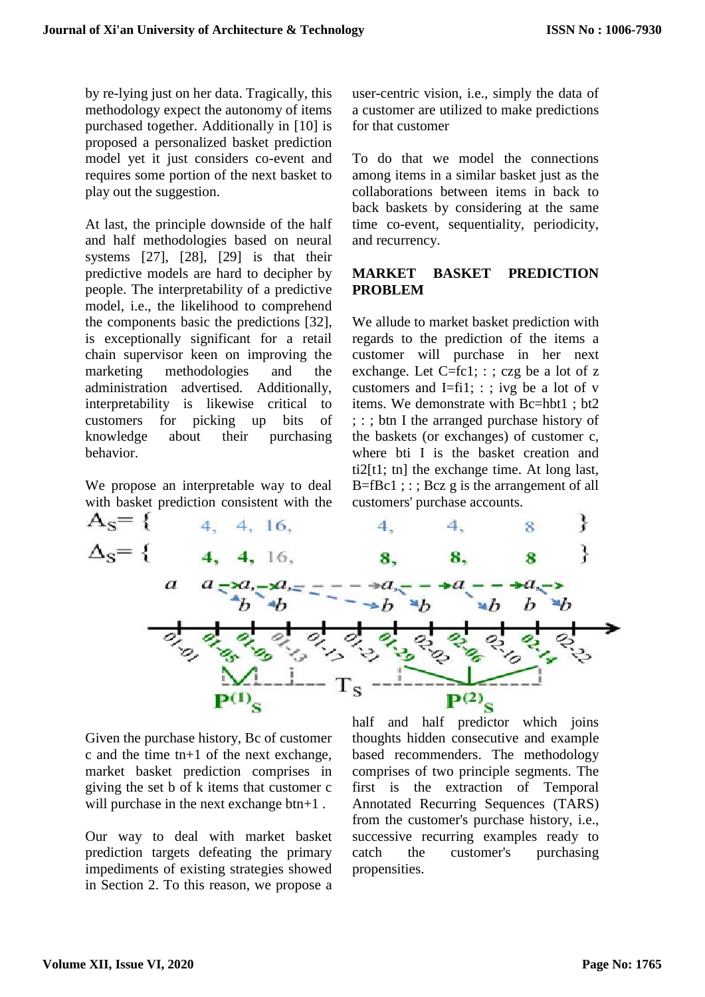by re-lying just on her data. Tragically, this methodology expect the autonomy of items purchased together. Additionally in [10] is proposed a personalized basket prediction model yet it just considers co-event and requires some portion of the next basket to play out the suggestion.

At last, the principle downside of the half and half methodologies based on neural systems [27], [28], [29] is that their predictive models are hard to decipher by people. The interpretability of a predictive model, i.e., the likelihood to comprehend the components basic the predictions [32], is exceptionally significant for a retail chain supervisor keen on improving the marketing methodologies and the administration advertised. Additionally, interpretability is likewise critical to customers for picking up bits of knowledge about their purchasing behavior.

We propose an interpretable way to deal with basket prediction consistent with the user-centric vision, i.e., simply the data of a customer are utilized to make predictions for that customer

To do that we model the connections among items in a similar basket just as the collaborations between items in back to back baskets by considering at the same time co-event, sequentiality, periodicity, and recurrency.

# **MARKET BASKET PREDICTION PROBLEM**

We allude to market basket prediction with regards to the prediction of the items a customer will purchase in her next exchange. Let  $C = fc1$ ; : ; czg be a lot of z customers and I=fi1; : ; ivg be a lot of v items. We demonstrate with Bc=hbt1 ; bt2 ; : ; btn I the arranged purchase history of the baskets (or exchanges) of customer c, where bti I is the basket creation and ti2[t1; tn] the exchange time. At long last,  $B = fBc1$ ;  $\therefore$   $Bcz$  g is the arrangement of all customers' purchase accounts.



Given the purchase history, Bc of customer c and the time tn+1 of the next exchange, market basket prediction comprises in giving the set b of k items that customer c will purchase in the next exchange btn+1.

Our way to deal with market basket prediction targets defeating the primary impediments of existing strategies showed in Section 2. To this reason, we propose a

half and half predictor which joins thoughts hidden consecutive and example based recommenders. The methodology comprises of two principle segments. The first is the extraction of Temporal Annotated Recurring Sequences (TARS) from the customer's purchase history, i.e., successive recurring examples ready to catch the customer's purchasing propensities.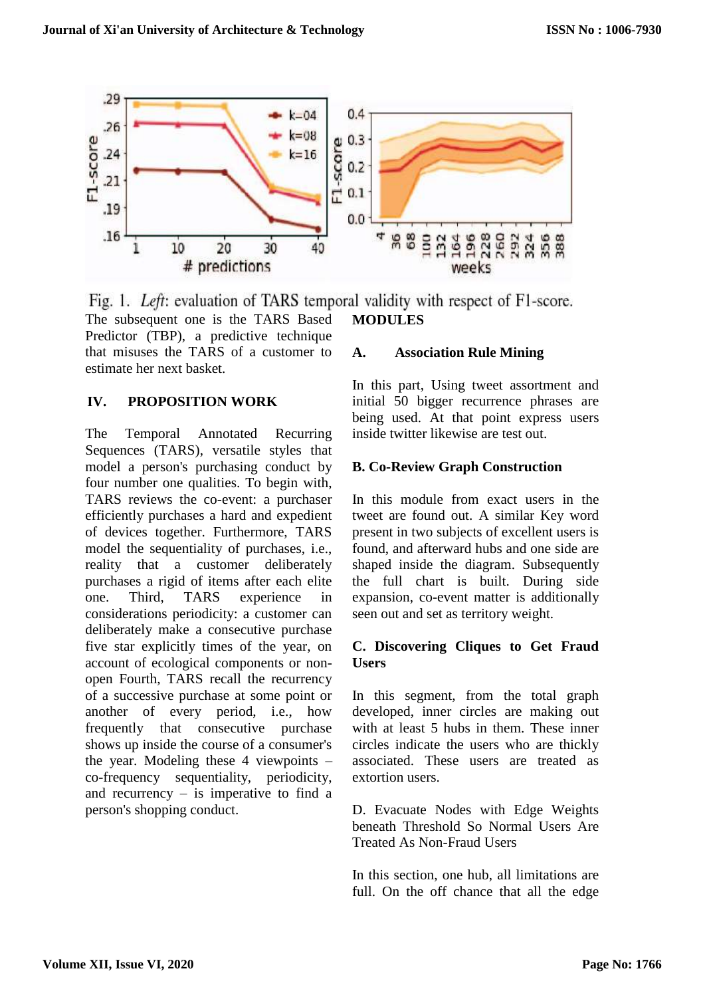

Fig. 1. Left: evaluation of TARS temporal validity with respect of F1-score. The subsequent one is the TARS Based **MODULES**  Predictor (TBP), a predictive technique

that misuses the TARS of a customer to estimate her next basket.

# **IV. PROPOSITION WORK**

The Temporal Annotated Recurring Sequences (TARS), versatile styles that model a person's purchasing conduct by four number one qualities. To begin with, TARS reviews the co-event: a purchaser efficiently purchases a hard and expedient of devices together. Furthermore, TARS model the sequentiality of purchases, i.e., reality that a customer deliberately purchases a rigid of items after each elite one. Third, TARS experience in considerations periodicity: a customer can deliberately make a consecutive purchase five star explicitly times of the year, on account of ecological components or nonopen Fourth, TARS recall the recurrency of a successive purchase at some point or another of every period, i.e., how frequently that consecutive purchase shows up inside the course of a consumer's the year. Modeling these 4 viewpoints – co-frequency sequentiality, periodicity, and recurrency – is imperative to find a person's shopping conduct.

# **A. Association Rule Mining**

In this part, Using tweet assortment and initial 50 bigger recurrence phrases are being used. At that point express users inside twitter likewise are test out.

# **B. Co-Review Graph Construction**

In this module from exact users in the tweet are found out. A similar Key word present in two subjects of excellent users is found, and afterward hubs and one side are shaped inside the diagram. Subsequently the full chart is built. During side expansion, co-event matter is additionally seen out and set as territory weight.

# **C. Discovering Cliques to Get Fraud Users**

In this segment, from the total graph developed, inner circles are making out with at least 5 hubs in them. These inner circles indicate the users who are thickly associated. These users are treated as extortion users.

D. Evacuate Nodes with Edge Weights beneath Threshold So Normal Users Are Treated As Non-Fraud Users

In this section, one hub, all limitations are full. On the off chance that all the edge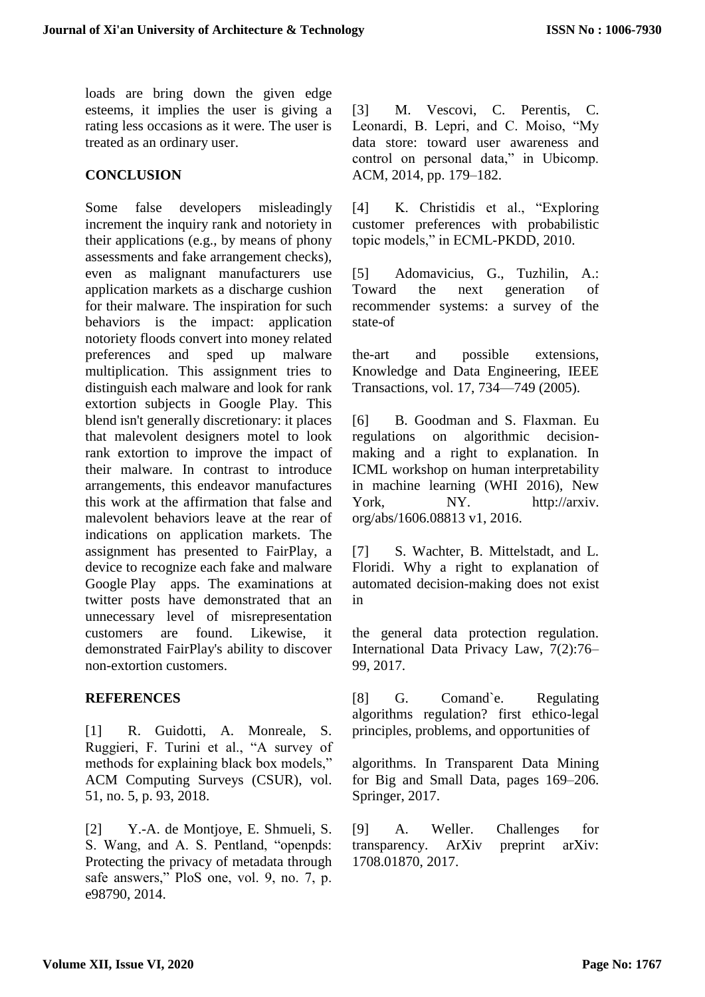loads are bring down the given edge esteems, it implies the user is giving a rating less occasions as it were. The user is treated as an ordinary user.

### **CONCLUSION**

Some false developers misleadingly increment the inquiry rank and notoriety in their applications (e.g., by means of phony assessments and fake arrangement checks), even as malignant manufacturers use application markets as a discharge cushion for their malware. The inspiration for such behaviors is the impact: application notoriety floods convert into money related preferences and sped up malware multiplication. This assignment tries to distinguish each malware and look for rank extortion subjects in Google Play. This blend isn't generally discretionary: it places that malevolent designers motel to look rank extortion to improve the impact of their malware. In contrast to introduce arrangements, this endeavor manufactures this work at the affirmation that false and malevolent behaviors leave at the rear of indications on application markets. The assignment has presented to FairPlay, a device to recognize each fake and malware Google Play apps. The examinations at twitter posts have demonstrated that an unnecessary level of misrepresentation customers are found. Likewise, it demonstrated FairPlay's ability to discover non-extortion customers.

### **REFERENCES**

[1] R. Guidotti, A. Monreale, S. Ruggieri, F. Turini et al., "A survey of methods for explaining black box models," ACM Computing Surveys (CSUR), vol. 51, no. 5, p. 93, 2018.

[2] Y.-A. de Montjoye, E. Shmueli, S. S. Wang, and A. S. Pentland, "openpds: Protecting the privacy of metadata through safe answers," PloS one, vol. 9, no. 7, p. e98790, 2014.

[3] M. Vescovi, C. Perentis, C. Leonardi, B. Lepri, and C. Moiso, "My data store: toward user awareness and control on personal data," in Ubicomp. ACM, 2014, pp. 179–182.

[4] K. Christidis et al., "Exploring customer preferences with probabilistic topic models," in ECML-PKDD, 2010.

[5] Adomavicius, G., Tuzhilin, A.: Toward the next generation of recommender systems: a survey of the state-of

the-art and possible extensions, Knowledge and Data Engineering, IEEE Transactions, vol. 17, 734—749 (2005).

[6] B. Goodman and S. Flaxman. Eu regulations on algorithmic decisionmaking and a right to explanation. In ICML workshop on human interpretability in machine learning (WHI 2016), New York, NY. http://arxiv. org/abs/1606.08813 v1, 2016.

[7] S. Wachter, B. Mittelstadt, and L. Floridi. Why a right to explanation of automated decision-making does not exist in

the general data protection regulation. International Data Privacy Law, 7(2):76– 99, 2017.

[8] G. Comand`e. Regulating algorithms regulation? first ethico-legal principles, problems, and opportunities of

algorithms. In Transparent Data Mining for Big and Small Data, pages 169–206. Springer, 2017.

[9] A. Weller. Challenges for transparency. ArXiv preprint arXiv: 1708.01870, 2017.